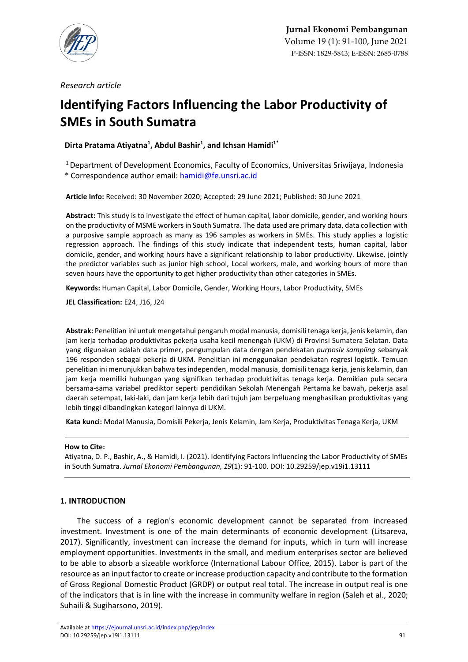

*Research article*

# **Identifying Factors Influencing the Labor Productivity of SMEs in South Sumatra**

**Dirta Pratama Atiyatna<sup>1</sup> , Abdul Bashir<sup>1</sup> , and Ichsan Hamidi1\***

<sup>1</sup> Department of Development Economics, Faculty of Economics, Universitas Sriwijaya, Indonesia

\* Correspondence author email: [hamidi@fe.unsri.ac.id](mailto:hamidi@fe.unsri.ac.id)

**Article Info:** Received: 30 November 2020; Accepted: 29 June 2021; Published: 30 June 2021

**Abstract:** This study is to investigate the effect of human capital, labor domicile, gender, and working hours on the productivity of MSME workers in South Sumatra. The data used are primary data, data collection with a purposive sample approach as many as 196 samples as workers in SMEs. This study applies a logistic regression approach. The findings of this study indicate that independent tests, human capital, labor domicile, gender, and working hours have a significant relationship to labor productivity. Likewise, jointly the predictor variables such as junior high school, Local workers, male, and working hours of more than seven hours have the opportunity to get higher productivity than other categories in SMEs.

**Keywords:** Human Capital, Labor Domicile, Gender, Working Hours, Labor Productivity, SMEs

**JEL Classification:** E24, J16, J24

**Abstrak:** Penelitian ini untuk mengetahui pengaruh modal manusia, domisili tenaga kerja, jenis kelamin, dan jam kerja terhadap produktivitas pekerja usaha kecil menengah (UKM) di Provinsi Sumatera Selatan. Data yang digunakan adalah data primer, pengumpulan data dengan pendekatan *purposiv sampling* sebanyak 196 responden sebagai pekerja di UKM. Penelitian ini menggunakan pendekatan regresi logistik. Temuan penelitian ini menunjukkan bahwa tes independen, modal manusia, domisili tenaga kerja, jenis kelamin, dan jam kerja memiliki hubungan yang signifikan terhadap produktivitas tenaga kerja. Demikian pula secara bersama-sama variabel prediktor seperti pendidikan Sekolah Menengah Pertama ke bawah, pekerja asal daerah setempat, laki-laki, dan jam kerja lebih dari tujuh jam berpeluang menghasilkan produktivitas yang lebih tinggi dibandingkan kategori lainnya di UKM.

**Kata kunci:** Modal Manusia, Domisili Pekerja, Jenis Kelamin, Jam Kerja, Produktivitas Tenaga Kerja, UKM

## **How to Cite:**

Atiyatna, D. P., Bashir, A., & Hamidi, I. (2021). Identifying Factors Influencing the Labor Productivity of SMEs in South Sumatra. *Jurnal Ekonomi Pembangunan, 19*(1): 91-100. DOI: 10.29259/jep.v19i1.13111

## **1. INTRODUCTION**

The success of a region's economic development cannot be separated from increased investment. Investment is one of the main determinants of economic development (Litsareva, 2017). Significantly, investment can increase the demand for inputs, which in turn will increase employment opportunities. Investments in the small, and medium enterprises sector are believed to be able to absorb a sizeable workforce (International Labour Office, 2015). Labor is part of the resource as an input factor to create or increase production capacity and contribute to the formation of Gross Regional Domestic Product (GRDP) or output real total. The increase in output real is one of the indicators that is in line with the increase in community welfare in region (Saleh et al., 2020; Suhaili & Sugiharsono, 2019).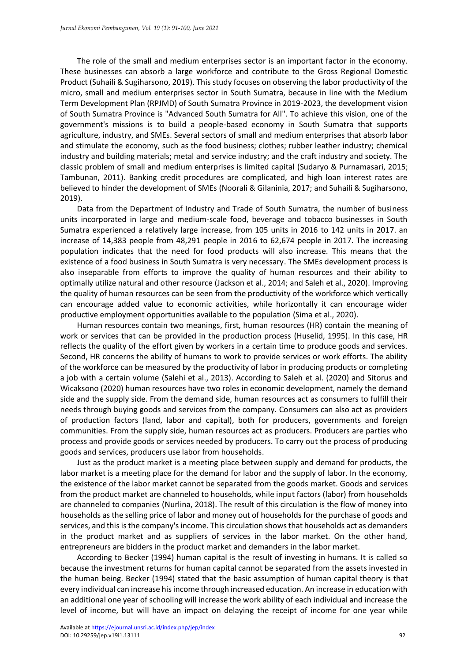The role of the small and medium enterprises sector is an important factor in the economy. These businesses can absorb a large workforce and contribute to the Gross Regional Domestic Product (Suhaili & Sugiharsono, 2019). This study focuses on observing the labor productivity of the micro, small and medium enterprises sector in South Sumatra, because in line with the Medium Term Development Plan (RPJMD) of South Sumatra Province in 2019-2023, the development vision of South Sumatra Province is "Advanced South Sumatra for All". To achieve this vision, one of the government's missions is to build a people-based economy in South Sumatra that supports agriculture, industry, and SMEs. Several sectors of small and medium enterprises that absorb labor and stimulate the economy, such as the food business; clothes; rubber leather industry; chemical industry and building materials; metal and service industry; and the craft industry and society. The classic problem of small and medium enterprises is limited capital (Sudaryo & Purnamasari, 2015; Tambunan, 2011). Banking credit procedures are complicated, and high loan interest rates are believed to hinder the development of SMEs (Noorali & Gilaninia, 2017; and Suhaili & Sugiharsono, 2019).

Data from the Department of Industry and Trade of South Sumatra, the number of business units incorporated in large and medium-scale food, beverage and tobacco businesses in South Sumatra experienced a relatively large increase, from 105 units in 2016 to 142 units in 2017. an increase of 14,383 people from 48,291 people in 2016 to 62,674 people in 2017. The increasing population indicates that the need for food products will also increase. This means that the existence of a food business in South Sumatra is very necessary. The SMEs development process is also inseparable from efforts to improve the quality of human resources and their ability to optimally utilize natural and other resource (Jackson et al., 2014; and Saleh et al., 2020). Improving the quality of human resources can be seen from the productivity of the workforce which vertically can encourage added value to economic activities, while horizontally it can encourage wider productive employment opportunities available to the population (Sima et al., 2020).

Human resources contain two meanings, first, human resources (HR) contain the meaning of work or services that can be provided in the production process (Huselid, 1995). In this case, HR reflects the quality of the effort given by workers in a certain time to produce goods and services. Second, HR concerns the ability of humans to work to provide services or work efforts. The ability of the workforce can be measured by the productivity of labor in producing products or completing a job with a certain volume (Salehi et al., 2013). According to Saleh et al. (2020) and Sitorus and Wicaksono (2020) human resources have two roles in economic development, namely the demand side and the supply side. From the demand side, human resources act as consumers to fulfill their needs through buying goods and services from the company. Consumers can also act as providers of production factors (land, labor and capital), both for producers, governments and foreign communities. From the supply side, human resources act as producers. Producers are parties who process and provide goods or services needed by producers. To carry out the process of producing goods and services, producers use labor from households.

Just as the product market is a meeting place between supply and demand for products, the labor market is a meeting place for the demand for labor and the supply of labor. In the economy, the existence of the labor market cannot be separated from the goods market. Goods and services from the product market are channeled to households, while input factors (labor) from households are channeled to companies (Nurlina, 2018). The result of this circulation is the flow of money into households as the selling price of labor and money out of households for the purchase of goods and services, and this is the company's income. This circulation shows that households act as demanders in the product market and as suppliers of services in the labor market. On the other hand, entrepreneurs are bidders in the product market and demanders in the labor market.

According to Becker (1994) human capital is the result of investing in humans. It is called so because the investment returns for human capital cannot be separated from the assets invested in the human being. Becker (1994) stated that the basic assumption of human capital theory is that every individual can increase his income through increased education. An increase in education with an additional one year of schooling will increase the work ability of each individual and increase the level of income, but will have an impact on delaying the receipt of income for one year while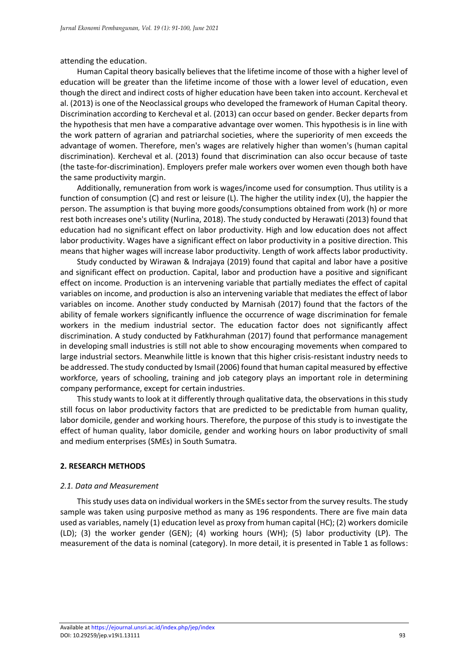attending the education.

Human Capital theory basically believes that the lifetime income of those with a higher level of education will be greater than the lifetime income of those with a lower level of education, even though the direct and indirect costs of higher education have been taken into account. Kercheval et al. (2013) is one of the Neoclassical groups who developed the framework of Human Capital theory. Discrimination according to Kercheval et al. (2013) can occur based on gender. Becker departs from the hypothesis that men have a comparative advantage over women. This hypothesis is in line with the work pattern of agrarian and patriarchal societies, where the superiority of men exceeds the advantage of women. Therefore, men's wages are relatively higher than women's (human capital discrimination). Kercheval et al. (2013) found that discrimination can also occur because of taste (the taste-for-discrimination). Employers prefer male workers over women even though both have the same productivity margin.

Additionally, remuneration from work is wages/income used for consumption. Thus utility is a function of consumption (C) and rest or leisure (L). The higher the utility index (U), the happier the person. The assumption is that buying more goods/consumptions obtained from work (h) or more rest both increases one's utility (Nurlina, 2018). The study conducted by Herawati (2013) found that education had no significant effect on labor productivity. High and low education does not affect labor productivity. Wages have a significant effect on labor productivity in a positive direction. This means that higher wages will increase labor productivity. Length of work affects labor productivity.

Study conducted by Wirawan & Indrajaya (2019) found that capital and labor have a positive and significant effect on production. Capital, labor and production have a positive and significant effect on income. Production is an intervening variable that partially mediates the effect of capital variables on income, and production is also an intervening variable that mediates the effect of labor variables on income. Another study conducted by Marnisah (2017) found that the factors of the ability of female workers significantly influence the occurrence of wage discrimination for female workers in the medium industrial sector. The education factor does not significantly affect discrimination. A study conducted by Fatkhurahman (2017) found that performance management in developing small industries is still not able to show encouraging movements when compared to large industrial sectors. Meanwhile little is known that this higher crisis-resistant industry needs to be addressed. The study conducted by Ismail (2006) found that human capital measured by effective workforce, years of schooling, training and job category plays an important role in determining company performance, except for certain industries.

This study wants to look at it differently through qualitative data, the observations in this study still focus on labor productivity factors that are predicted to be predictable from human quality, labor domicile, gender and working hours. Therefore, the purpose of this study is to investigate the effect of human quality, labor domicile, gender and working hours on labor productivity of small and medium enterprises (SMEs) in South Sumatra.

#### **2. RESEARCH METHODS**

#### *2.1. Data and Measurement*

This study uses data on individual workers in the SMEssector from the survey results. The study sample was taken using purposive method as many as 196 respondents. There are five main data used as variables, namely (1) education level as proxy from human capital (HC); (2) workers domicile (LD); (3) the worker gender (GEN); (4) working hours (WH); (5) labor productivity (LP). The measurement of the data is nominal (category). In more detail, it is presented in Table 1 as follows: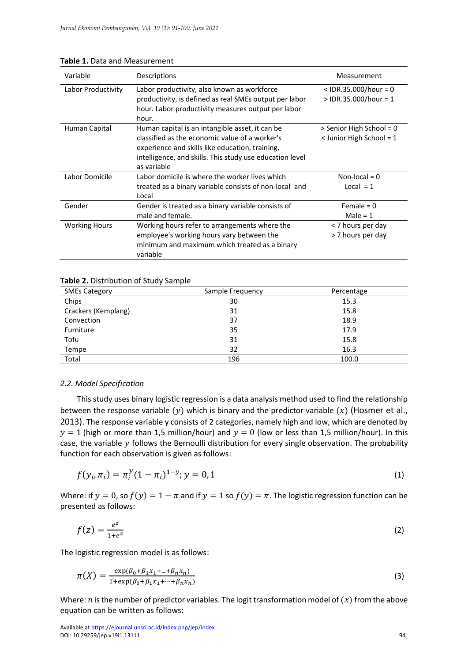| Variable             | Descriptions                                                                                                                                                                                                                    | Measurement                                              |
|----------------------|---------------------------------------------------------------------------------------------------------------------------------------------------------------------------------------------------------------------------------|----------------------------------------------------------|
| Labor Productivity   | Labor productivity, also known as workforce<br>productivity, is defined as real SMEs output per labor<br>hour. Labor productivity measures output per labor                                                                     | $<$ IDR.35.000/hour = 0<br>$>$ IDR.35.000/hour = 1       |
|                      | hour.                                                                                                                                                                                                                           |                                                          |
| Human Capital        | Human capital is an intangible asset, it can be<br>classified as the economic value of a worker's<br>experience and skills like education, training,<br>intelligence, and skills. This study use education level<br>as variable | > Senior High School = 0<br>$\le$ Junior High School = 1 |
| Labor Domicile       | Labor domicile is where the worker lives which<br>treated as a binary variable consists of non-local and<br>Local                                                                                                               | Non-local = $0$<br>$Local = 1$                           |
| Gender               | Gender is treated as a binary variable consists of<br>male and female.                                                                                                                                                          | Female = $0$<br>Male = $1$                               |
| <b>Working Hours</b> | Working hours refer to arrangements where the<br>employee's working hours vary between the<br>minimum and maximum which treated as a binary<br>variable                                                                         | < 7 hours per day<br>> 7 hours per day                   |

#### **Table 1.** Data and Measurement

## **Table 2.** Distribution of Study Sample

| <b>SMEs Category</b> | Sample Frequency | Percentage |
|----------------------|------------------|------------|
| Chips                | 30               | 15.3       |
| Crackers (Kemplang)  | 31               | 15.8       |
| Convection           | 37               | 18.9       |
| Furniture            | 35               | 17.9       |
| Tofu                 | 31               | 15.8       |
| Tempe                | 32               | 16.3       |
| Total                | 196              | 100.0      |

## *2.2. Model Specification*

This study uses binary logistic regression is a data analysis method used to find the relationship between the response variable (y) which is binary and the predictor variable (x) (Hosmer et al., 2013). The response variable y consists of 2 categories, namely high and low, which are denoted by  $y = 1$  (high or more than 1,5 million/hour) and  $y = 0$  (low or less than 1,5 million/hour). In this case, the variable  $y$  follows the Bernoulli distribution for every single observation. The probability function for each observation is given as follows:

$$
f(y_i, \pi_i) = \pi_i^y (1 - \pi_i)^{1 - y}; y = 0, 1
$$
\n(1)

Where: if  $y = 0$ , so  $f(y) = 1 - \pi$  and if  $y = 1$  so  $f(y) = \pi$ . The logistic regression function can be presented as follows:

$$
f(z) = \frac{e^z}{1 + e^z} \tag{2}
$$

The logistic regression model is as follows:

$$
\pi(X) = \frac{\exp(\beta_0 + \beta_1 x_1 + \dots + \beta_n x_n)}{1 + \exp(\beta_0 + \beta_1 x_1 + \dots + \beta_n x_n)}
$$
(3)

Where:  $n$  is the number of predictor variables. The logit transformation model of  $(x)$  from the above equation can be written as follows: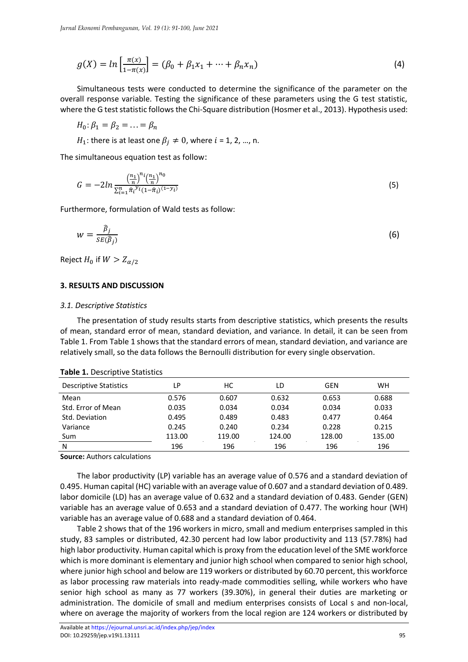$$
g(X) = \ln \left[ \frac{\pi(x)}{1 - \pi(x)} \right] = (\beta_0 + \beta_1 x_1 + \dots + \beta_n x_n)
$$
\n(4)

Simultaneous tests were conducted to determine the significance of the parameter on the overall response variable. Testing the significance of these parameters using the G test statistic, where the G test statistic follows the Chi-Square distribution (Hosmer et al., 2013). Hypothesis used:

$$
H_0: \beta_1 = \beta_2 = \ldots = \beta_n
$$

 $H_1$ : there is at least one  $\beta_j \neq 0$ , where  $i = 1, 2, ..., n$ .

The simultaneous equation test as follow:

$$
G = -2\ln \frac{\left(\frac{n_1}{n}\right)^{n_i} \left(\frac{n_1}{n}\right)^{n_0}}{\sum_{i=1}^n \hat{\pi}_i^{y_i} \left(1 - \hat{\pi}_i\right)^{(1 - y_i)}}\tag{5}
$$

Furthermore, formulation of Wald tests as follow:

$$
w = \frac{\widehat{\beta}_j}{SE(\widehat{\beta}_j)}
$$
(6)

Reject  $H_0$  if  $W > Z_{\alpha/2}$ 

#### **3. RESULTS AND DISCUSSION**

#### *3.1. Descriptive Statistics*

The presentation of study results starts from descriptive statistics, which presents the results of mean, standard error of mean, standard deviation, and variance. In detail, it can be seen from Table 1. From Table 1 shows that the standard errors of mean, standard deviation, and variance are relatively small, so the data follows the Bernoulli distribution for every single observation.

| .                             |        |        |        |        |           |  |
|-------------------------------|--------|--------|--------|--------|-----------|--|
| <b>Descriptive Statistics</b> | LР     | НC     | LD     | GEN    | <b>WH</b> |  |
| Mean                          | 0.576  | 0.607  | 0.632  | 0.653  | 0.688     |  |
| Std. Error of Mean            | 0.035  | 0.034  | 0.034  | 0.034  | 0.033     |  |
| Std. Deviation                | 0.495  | 0.489  | 0.483  | 0.477  | 0.464     |  |
| Variance                      | 0.245  | 0.240  | 0.234  | 0.228  | 0.215     |  |
| Sum                           | 113.00 | 119.00 | 124.00 | 128.00 | 135.00    |  |
| N                             | 196    | 196    | 196    | 196    | 196       |  |

#### **Table 1. Descriptive Statistics**

**Source:** Authors calculations

The labor productivity (LP) variable has an average value of 0.576 and a standard deviation of 0.495. Human capital (HC) variable with an average value of 0.607 and a standard deviation of 0.489. labor domicile (LD) has an average value of 0.632 and a standard deviation of 0.483. Gender (GEN) variable has an average value of 0.653 and a standard deviation of 0.477. The working hour (WH) variable has an average value of 0.688 and a standard deviation of 0.464.

Table 2 shows that of the 196 workers in micro, small and medium enterprises sampled in this study, 83 samples or distributed, 42.30 percent had low labor productivity and 113 (57.78%) had high labor productivity. Human capital which is proxy from the education level of the SME workforce which is more dominant is elementary and junior high school when compared to senior high school, where junior high school and below are 119 workers or distributed by 60.70 percent, this workforce as labor processing raw materials into ready-made commodities selling, while workers who have senior high school as many as 77 workers (39.30%), in general their duties are marketing or administration. The domicile of small and medium enterprises consists of Local s and non-local, where on average the majority of workers from the local region are 124 workers or distributed by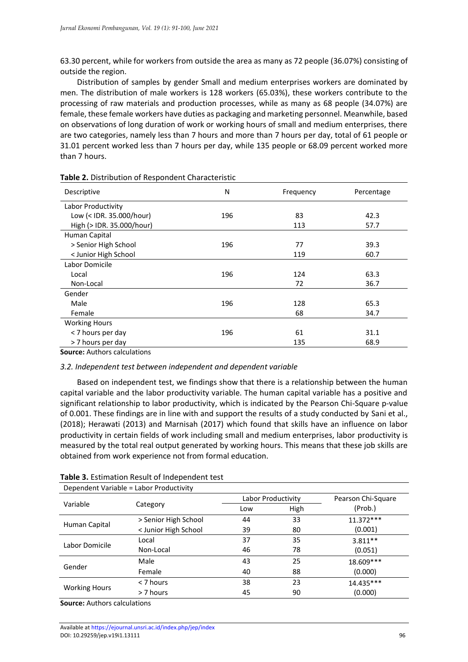63.30 percent, while for workers from outside the area as many as 72 people (36.07%) consisting of outside the region.

Distribution of samples by gender Small and medium enterprises workers are dominated by men. The distribution of male workers is 128 workers (65.03%), these workers contribute to the processing of raw materials and production processes, while as many as 68 people (34.07%) are female, these female workers have duties as packaging and marketing personnel. Meanwhile, based on observations of long duration of work or working hours of small and medium enterprises, there are two categories, namely less than 7 hours and more than 7 hours per day, total of 61 people or 31.01 percent worked less than 7 hours per day, while 135 people or 68.09 percent worked more than 7 hours.

| Descriptive               | N   | Frequency<br>Percentage |      |  |
|---------------------------|-----|-------------------------|------|--|
| Labor Productivity        |     |                         |      |  |
| Low (< IDR. 35.000/hour)  | 196 | 83                      | 42.3 |  |
| High (> IDR. 35.000/hour) |     | 113                     | 57.7 |  |
| Human Capital             |     |                         |      |  |
| > Senior High School      | 196 | 77                      | 39.3 |  |
| < Junior High School      |     | 119                     | 60.7 |  |
| Labor Domicile            |     |                         |      |  |
| Local                     | 196 | 124                     | 63.3 |  |
| Non-Local                 |     | 72                      | 36.7 |  |
| Gender                    |     |                         |      |  |
| Male                      | 196 | 128                     | 65.3 |  |
| Female                    |     | 68                      | 34.7 |  |
| <b>Working Hours</b>      |     |                         |      |  |
| < 7 hours per day         | 196 | 61                      | 31.1 |  |
| > 7 hours per day         |     | 135                     | 68.9 |  |

#### **Table 2.** Distribution of Respondent Characteristic

**Source:** Authors calculations

## *3.2. Independent test between independent and dependent variable*

Based on independent test, we findings show that there is a relationship between the human capital variable and the labor productivity variable. The human capital variable has a positive and significant relationship to labor productivity, which is indicated by the Pearson Chi-Square p-value of 0.001. These findings are in line with and support the results of a study conducted by Sani et al., (2018); Herawati (2013) and Marnisah (2017) which found that skills have an influence on labor productivity in certain fields of work including small and medium enterprises, labor productivity is measured by the total real output generated by working hours. This means that these job skills are obtained from work experience not from formal education.

| Dependent Variable = Labor Productivity |                      |     |                    |                    |
|-----------------------------------------|----------------------|-----|--------------------|--------------------|
|                                         | Category             |     | Labor Productivity | Pearson Chi-Square |
| Variable                                |                      | Low | High               | (Prob.)            |
| Human Capital                           | > Senior High School | 44  | 33                 | $11.372***$        |
|                                         | < Junior High School | 39  | 80                 | (0.001)            |
| Labor Domicile                          | Local                | 37  | 35                 | $3.811**$          |
|                                         | Non-Local            | 46  | 78                 | (0.051)            |
| Gender                                  | Male                 | 43  | 25                 | 18.609***          |
|                                         | Female               | 40  | 88                 | (0.000)            |
| <b>Working Hours</b>                    | < 7 hours            | 38  | 23                 | 14.435***          |
|                                         | > 7 hours            | 45  | 90                 | (0.000)            |

#### **Table 3.** Estimation Result of Independent test

**Source:** Authors calculations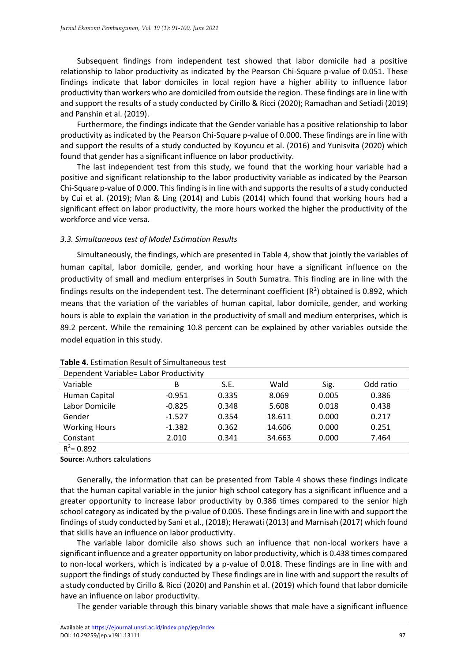Subsequent findings from independent test showed that labor domicile had a positive relationship to labor productivity as indicated by the Pearson Chi-Square p-value of 0.051. These findings indicate that labor domiciles in local region have a higher ability to influence labor productivity than workers who are domiciled from outside the region. These findings are in line with and support the results of a study conducted by Cirillo & Ricci (2020); Ramadhan and Setiadi (2019) and Panshin et al. (2019).

Furthermore, the findings indicate that the Gender variable has a positive relationship to labor productivity as indicated by the Pearson Chi-Square p-value of 0.000. These findings are in line with and support the results of a study conducted by Koyuncu et al. (2016) and Yunisvita (2020) which found that gender has a significant influence on labor productivity.

The last independent test from this study, we found that the working hour variable had a positive and significant relationship to the labor productivity variable as indicated by the Pearson Chi-Square p-value of 0.000. This finding is in line with and supports the results of a study conducted by Cui et al. (2019); Man & Ling (2014) and Lubis (2014) which found that working hours had a significant effect on labor productivity, the more hours worked the higher the productivity of the workforce and vice versa.

## *3.3. Simultaneous test of Model Estimation Results*

Simultaneously, the findings, which are presented in Table 4, show that jointly the variables of human capital, labor domicile, gender, and working hour have a significant influence on the productivity of small and medium enterprises in South Sumatra. This finding are in line with the findings results on the independent test. The determinant coefficient ( $R^2$ ) obtained is 0.892, which means that the variation of the variables of human capital, labor domicile, gender, and working hours is able to explain the variation in the productivity of small and medium enterprises, which is 89.2 percent. While the remaining 10.8 percent can be explained by other variables outside the model equation in this study.

| Dependent Variable= Labor Productivity |          |       |        |       |           |
|----------------------------------------|----------|-------|--------|-------|-----------|
| Variable                               | В        | S.E.  | Wald   | Sig.  | Odd ratio |
| Human Capital                          | $-0.951$ | 0.335 | 8.069  | 0.005 | 0.386     |
| Labor Domicile                         | $-0.825$ | 0.348 | 5.608  | 0.018 | 0.438     |
| Gender                                 | $-1.527$ | 0.354 | 18.611 | 0.000 | 0.217     |
| <b>Working Hours</b>                   | $-1.382$ | 0.362 | 14.606 | 0.000 | 0.251     |
| Constant                               | 2.010    | 0.341 | 34.663 | 0.000 | 7.464     |
| $R^2$ = 0.892                          |          |       |        |       |           |

## **Table 4.** Estimation Result of Simultaneous test

**Source:** Authors calculations

Generally, the information that can be presented from Table 4 shows these findings indicate that the human capital variable in the junior high school category has a significant influence and a greater opportunity to increase labor productivity by 0.386 times compared to the senior high school category as indicated by the p-value of 0.005. These findings are in line with and support the findings of study conducted by Sani et al., (2018); Herawati (2013) and Marnisah (2017) which found that skills have an influence on labor productivity.

The variable labor domicile also shows such an influence that non-local workers have a significant influence and a greater opportunity on labor productivity, which is 0.438 times compared to non-local workers, which is indicated by a p-value of 0.018. These findings are in line with and support the findings of study conducted by These findings are in line with and support the results of a study conducted by Cirillo & Ricci (2020) and Panshin et al. (2019) which found that labor domicile have an influence on labor productivity.

The gender variable through this binary variable shows that male have a significant influence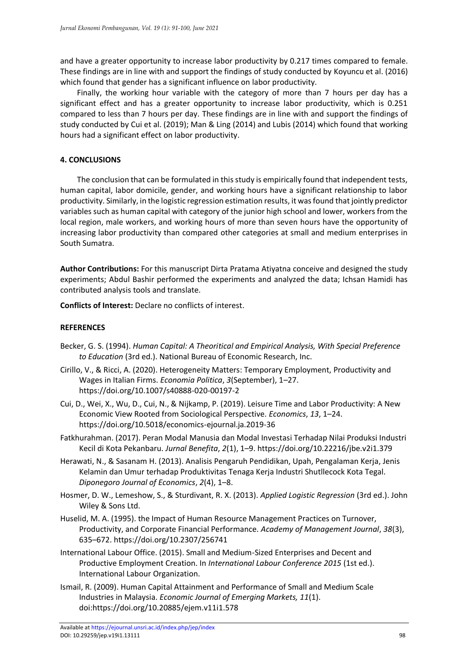and have a greater opportunity to increase labor productivity by 0.217 times compared to female. These findings are in line with and support the findings of study conducted by Koyuncu et al. (2016) which found that gender has a significant influence on labor productivity.

Finally, the working hour variable with the category of more than 7 hours per day has a significant effect and has a greater opportunity to increase labor productivity, which is 0.251 compared to less than 7 hours per day. These findings are in line with and support the findings of study conducted by Cui et al. (2019); Man & Ling (2014) and Lubis (2014) which found that working hours had a significant effect on labor productivity.

## **4. CONCLUSIONS**

The conclusion that can be formulated in this study is empirically found that independent tests, human capital, labor domicile, gender, and working hours have a significant relationship to labor productivity. Similarly, in the logistic regression estimation results, it was found that jointly predictor variables such as human capital with category of the junior high school and lower, workers from the local region, male workers, and working hours of more than seven hours have the opportunity of increasing labor productivity than compared other categories at small and medium enterprises in South Sumatra.

**Author Contributions:** For this manuscript Dirta Pratama Atiyatna conceive and designed the study experiments; Abdul Bashir performed the experiments and analyzed the data; Ichsan Hamidi has contributed analysis tools and translate.

**Conflicts of Interest:** Declare no conflicts of interest.

## **REFERENCES**

- Becker, G. S. (1994). *Human Capital: A Theoritical and Empirical Analysis, With Special Preference to Education* (3rd ed.). National Bureau of Economic Research, Inc.
- Cirillo, V., & Ricci, A. (2020). Heterogeneity Matters: Temporary Employment, Productivity and Wages in Italian Firms. *Economia Politica*, *3*(September), 1–27. https://doi.org/10.1007/s40888-020-00197-2
- Cui, D., Wei, X., Wu, D., Cui, N., & Nijkamp, P. (2019). Leisure Time and Labor Productivity: A New Economic View Rooted from Sociological Perspective. *Economics*, *13*, 1–24. https://doi.org/10.5018/economics-ejournal.ja.2019-36
- Fatkhurahman. (2017). Peran Modal Manusia dan Modal Investasi Terhadap Nilai Produksi Industri Kecil di Kota Pekanbaru. *Jurnal Benefita*, *2*(1), 1–9. https://doi.org/10.22216/jbe.v2i1.379
- Herawati, N., & Sasanam H. (2013). Analisis Pengaruh Pendidikan, Upah, Pengalaman Kerja, Jenis Kelamin dan Umur terhadap Produktivitas Tenaga Kerja Industri Shutllecock Kota Tegal. *Diponegoro Journal of Economics*, *2*(4), 1–8.
- Hosmer, D. W., Lemeshow, S., & Sturdivant, R. X. (2013). *Applied Logistic Regression* (3rd ed.). John Wiley & Sons Ltd.
- Huselid, M. A. (1995). the Impact of Human Resource Management Practices on Turnover, Productivity, and Corporate Financial Performance. *Academy of Management Journal*, *38*(3), 635–672. https://doi.org/10.2307/256741
- International Labour Office. (2015). Small and Medium-Sized Enterprises and Decent and Productive Employment Creation. In *International Labour Conference 2015* (1st ed.). International Labour Organization.
- Ismail, R. (2009). Human Capital Attainment and Performance of Small and Medium Scale Industries in Malaysia. *Economic Journal of Emerging Markets, 11*(1). doi:https://doi.org/10.20885/ejem.v11i1.578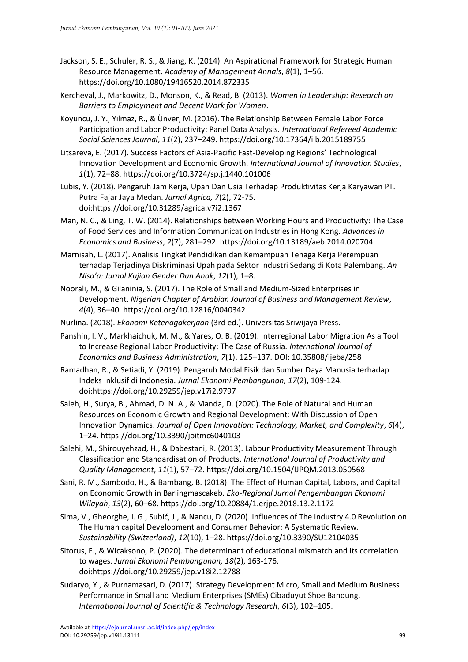- Jackson, S. E., Schuler, R. S., & Jiang, K. (2014). An Aspirational Framework for Strategic Human Resource Management. *Academy of Management Annals*, *8*(1), 1–56. https://doi.org/10.1080/19416520.2014.872335
- Kercheval, J., Markowitz, D., Monson, K., & Read, B. (2013). *Women in Leadership: Research on Barriers to Employment and Decent Work for Women*.
- Koyuncu, J. Y., Yılmaz, R., & Ünver, M. (2016). The Relationship Between Female Labor Force Participation and Labor Productivity: Panel Data Analysis. *International Refereed Academic Social Sciences Journal*, *11*(2), 237–249. https://doi.org/10.17364/iib.2015189755
- Litsareva, E. (2017). Success Factors of Asia-Pacific Fast-Developing Regions' Technological Innovation Development and Economic Growth. *International Journal of Innovation Studies*, *1*(1), 72–88. https://doi.org/10.3724/sp.j.1440.101006
- Lubis, Y. (2018). Pengaruh Jam Kerja, Upah Dan Usia Terhadap Produktivitas Kerja Karyawan PT. Putra Fajar Jaya Medan. *Jurnal Agrica, 7*(2), 72-75. doi:https://doi.org/10.31289/agrica.v7i2.1367
- Man, N. C., & Ling, T. W. (2014). Relationships between Working Hours and Productivity: The Case of Food Services and Information Communication Industries in Hong Kong. *Advances in Economics and Business*, *2*(7), 281–292. https://doi.org/10.13189/aeb.2014.020704
- Marnisah, L. (2017). Analisis Tingkat Pendidikan dan Kemampuan Tenaga Kerja Perempuan terhadap Terjadinya Diskriminasi Upah pada Sektor Industri Sedang di Kota Palembang. *An Nisa'a: Jurnal Kajian Gender Dan Anak*, *12*(1), 1–8.
- Noorali, M., & Gilaninia, S. (2017). The Role of Small and Medium-Sized Enterprises in Development. *Nigerian Chapter of Arabian Journal of Business and Management Review*, *4*(4), 36–40. https://doi.org/10.12816/0040342
- Nurlina. (2018). *Ekonomi Ketenagakerjaan* (3rd ed.). Universitas Sriwijaya Press.
- Panshin, I. V., Markhaichuk, M. M., & Yares, O. B. (2019). Interregional Labor Migration As a Tool to Increase Regional Labor Productivity: The Case of Russia. *International Journal of Economics and Business Administration*, *7*(1), 125–137. DOI: 10.35808/ijeba/258
- Ramadhan, R., & Setiadi, Y. (2019). Pengaruh Modal Fisik dan Sumber Daya Manusia terhadap Indeks Inklusif di Indonesia. *Jurnal Ekonomi Pembangunan, 17*(2), 109-124. doi:https://doi.org/10.29259/jep.v17i2.9797
- Saleh, H., Surya, B., Ahmad, D. N. A., & Manda, D. (2020). The Role of Natural and Human Resources on Economic Growth and Regional Development: With Discussion of Open Innovation Dynamics. *Journal of Open Innovation: Technology, Market, and Complexity*, *6*(4), 1–24. https://doi.org/10.3390/joitmc6040103
- Salehi, M., Shirouyehzad, H., & Dabestani, R. (2013). Labour Productivity Measurement Through Classification and Standardisation of Products. *International Journal of Productivity and Quality Management*, *11*(1), 57–72. https://doi.org/10.1504/IJPQM.2013.050568
- Sani, R. M., Sambodo, H., & Bambang, B. (2018). The Effect of Human Capital, Labors, and Capital on Economic Growth in Barlingmascakeb. *Eko-Regional Jurnal Pengembangan Ekonomi Wilayah*, *13*(2), 60–68. https://doi.org/10.20884/1.erjpe.2018.13.2.1172
- Sima, V., Gheorghe, I. G., Subić, J., & Nancu, D. (2020). Influences of The Industry 4.0 Revolution on The Human capital Development and Consumer Behavior: A Systematic Review. *Sustainability (Switzerland)*, *12*(10), 1–28. https://doi.org/10.3390/SU12104035
- Sitorus, F., & Wicaksono, P. (2020). The determinant of educational mismatch and its correlation to wages. *Jurnal Ekonomi Pembangunan, 18*(2), 163-176. doi:https://doi.org/10.29259/jep.v18i2.12788
- Sudaryo, Y., & Purnamasari, D. (2017). Strategy Development Micro, Small and Medium Business Performance in Small and Medium Enterprises (SMEs) Cibaduyut Shoe Bandung. *International Journal of Scientific & Technology Research*, *6*(3), 102–105.